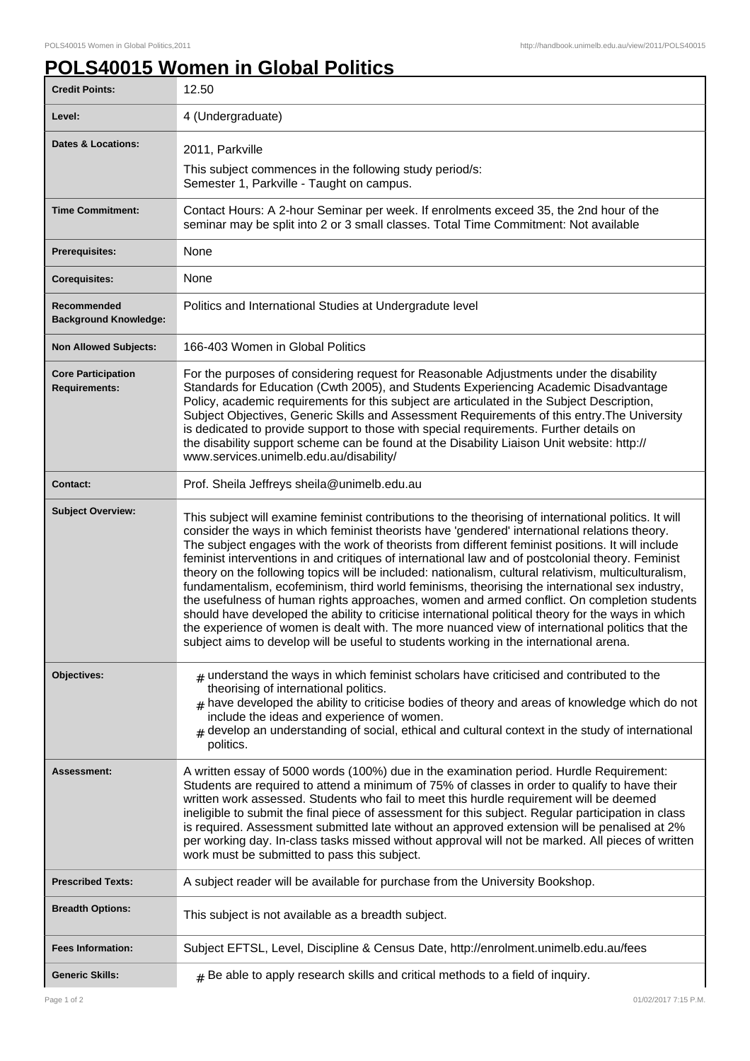٦

## **POLS40015 Women in Global Politics**

| <b>Credit Points:</b>                             | 12.50                                                                                                                                                                                                                                                                                                                                                                                                                                                                                                                                                                                                                                                                                                                                                                                                                                                                                                                                                                                                                         |
|---------------------------------------------------|-------------------------------------------------------------------------------------------------------------------------------------------------------------------------------------------------------------------------------------------------------------------------------------------------------------------------------------------------------------------------------------------------------------------------------------------------------------------------------------------------------------------------------------------------------------------------------------------------------------------------------------------------------------------------------------------------------------------------------------------------------------------------------------------------------------------------------------------------------------------------------------------------------------------------------------------------------------------------------------------------------------------------------|
| Level:                                            | 4 (Undergraduate)                                                                                                                                                                                                                                                                                                                                                                                                                                                                                                                                                                                                                                                                                                                                                                                                                                                                                                                                                                                                             |
| <b>Dates &amp; Locations:</b>                     | 2011, Parkville                                                                                                                                                                                                                                                                                                                                                                                                                                                                                                                                                                                                                                                                                                                                                                                                                                                                                                                                                                                                               |
|                                                   | This subject commences in the following study period/s:<br>Semester 1, Parkville - Taught on campus.                                                                                                                                                                                                                                                                                                                                                                                                                                                                                                                                                                                                                                                                                                                                                                                                                                                                                                                          |
| <b>Time Commitment:</b>                           | Contact Hours: A 2-hour Seminar per week. If enrolments exceed 35, the 2nd hour of the<br>seminar may be split into 2 or 3 small classes. Total Time Commitment: Not available                                                                                                                                                                                                                                                                                                                                                                                                                                                                                                                                                                                                                                                                                                                                                                                                                                                |
| <b>Prerequisites:</b>                             | None                                                                                                                                                                                                                                                                                                                                                                                                                                                                                                                                                                                                                                                                                                                                                                                                                                                                                                                                                                                                                          |
| <b>Corequisites:</b>                              | None                                                                                                                                                                                                                                                                                                                                                                                                                                                                                                                                                                                                                                                                                                                                                                                                                                                                                                                                                                                                                          |
| Recommended<br><b>Background Knowledge:</b>       | Politics and International Studies at Undergradute level                                                                                                                                                                                                                                                                                                                                                                                                                                                                                                                                                                                                                                                                                                                                                                                                                                                                                                                                                                      |
| <b>Non Allowed Subjects:</b>                      | 166-403 Women in Global Politics                                                                                                                                                                                                                                                                                                                                                                                                                                                                                                                                                                                                                                                                                                                                                                                                                                                                                                                                                                                              |
| <b>Core Participation</b><br><b>Requirements:</b> | For the purposes of considering request for Reasonable Adjustments under the disability<br>Standards for Education (Cwth 2005), and Students Experiencing Academic Disadvantage<br>Policy, academic requirements for this subject are articulated in the Subject Description,<br>Subject Objectives, Generic Skills and Assessment Requirements of this entry. The University<br>is dedicated to provide support to those with special requirements. Further details on<br>the disability support scheme can be found at the Disability Liaison Unit website: http://<br>www.services.unimelb.edu.au/disability/                                                                                                                                                                                                                                                                                                                                                                                                              |
| <b>Contact:</b>                                   | Prof. Sheila Jeffreys sheila@unimelb.edu.au                                                                                                                                                                                                                                                                                                                                                                                                                                                                                                                                                                                                                                                                                                                                                                                                                                                                                                                                                                                   |
| <b>Subject Overview:</b>                          | This subject will examine feminist contributions to the theorising of international politics. It will<br>consider the ways in which feminist theorists have 'gendered' international relations theory.<br>The subject engages with the work of theorists from different feminist positions. It will include<br>feminist interventions in and critiques of international law and of postcolonial theory. Feminist<br>theory on the following topics will be included: nationalism, cultural relativism, multiculturalism,<br>fundamentalism, ecofeminism, third world feminisms, theorising the international sex industry,<br>the usefulness of human rights approaches, women and armed conflict. On completion students<br>should have developed the ability to criticise international political theory for the ways in which<br>the experience of women is dealt with. The more nuanced view of international politics that the<br>subject aims to develop will be useful to students working in the international arena. |
| Objectives:                                       | $_{\#}$ understand the ways in which feminist scholars have criticised and contributed to the<br>theorising of international politics.<br>$#$ have developed the ability to criticise bodies of theory and areas of knowledge which do not<br>include the ideas and experience of women.<br>develop an understanding of social, ethical and cultural context in the study of international<br>politics.                                                                                                                                                                                                                                                                                                                                                                                                                                                                                                                                                                                                                       |
| Assessment:                                       | A written essay of 5000 words (100%) due in the examination period. Hurdle Requirement:<br>Students are required to attend a minimum of 75% of classes in order to qualify to have their<br>written work assessed. Students who fail to meet this hurdle requirement will be deemed<br>ineligible to submit the final piece of assessment for this subject. Regular participation in class<br>is required. Assessment submitted late without an approved extension will be penalised at 2%<br>per working day. In-class tasks missed without approval will not be marked. All pieces of written<br>work must be submitted to pass this subject.                                                                                                                                                                                                                                                                                                                                                                               |
| <b>Prescribed Texts:</b>                          | A subject reader will be available for purchase from the University Bookshop.                                                                                                                                                                                                                                                                                                                                                                                                                                                                                                                                                                                                                                                                                                                                                                                                                                                                                                                                                 |
| <b>Breadth Options:</b>                           | This subject is not available as a breadth subject.                                                                                                                                                                                                                                                                                                                                                                                                                                                                                                                                                                                                                                                                                                                                                                                                                                                                                                                                                                           |
| <b>Fees Information:</b>                          | Subject EFTSL, Level, Discipline & Census Date, http://enrolment.unimelb.edu.au/fees                                                                                                                                                                                                                                                                                                                                                                                                                                                                                                                                                                                                                                                                                                                                                                                                                                                                                                                                          |
| <b>Generic Skills:</b>                            | $_{\#}$ Be able to apply research skills and critical methods to a field of inquiry.                                                                                                                                                                                                                                                                                                                                                                                                                                                                                                                                                                                                                                                                                                                                                                                                                                                                                                                                          |